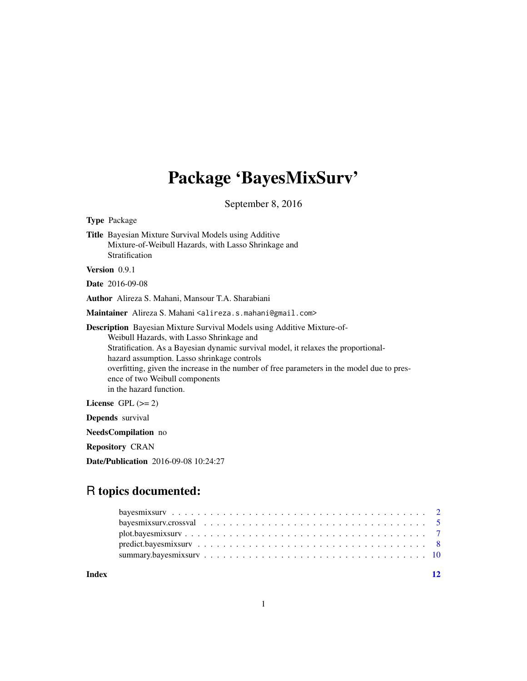# Package 'BayesMixSurv'

September 8, 2016

<span id="page-0-0"></span>

Date/Publication 2016-09-08 10:24:27

# R topics documented:

**Index** [12](#page-11-0)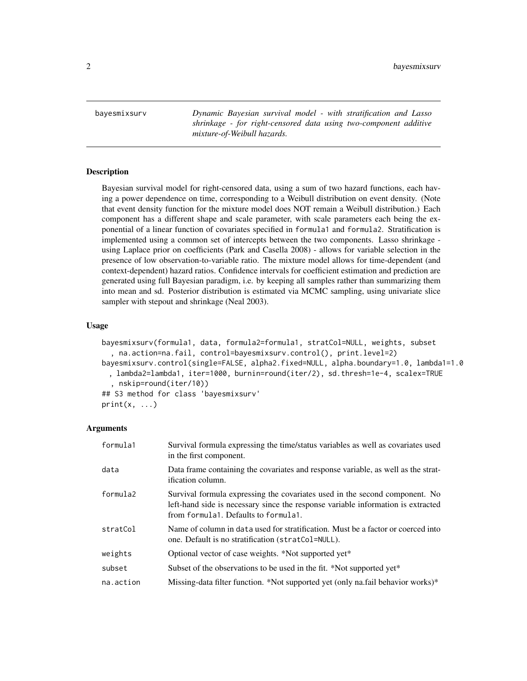<span id="page-1-2"></span><span id="page-1-0"></span>bayesmixsurv *Dynamic Bayesian survival model - with stratification and Lasso shrinkage - for right-censored data using two-component additive mixture-of-Weibull hazards.*

#### <span id="page-1-1"></span>Description

Bayesian survival model for right-censored data, using a sum of two hazard functions, each having a power dependence on time, corresponding to a Weibull distribution on event density. (Note that event density function for the mixture model does NOT remain a Weibull distribution.) Each component has a different shape and scale parameter, with scale parameters each being the exponential of a linear function of covariates specified in formula1 and formula2. Stratification is implemented using a common set of intercepts between the two components. Lasso shrinkage using Laplace prior on coefficients (Park and Casella 2008) - allows for variable selection in the presence of low observation-to-variable ratio. The mixture model allows for time-dependent (and context-dependent) hazard ratios. Confidence intervals for coefficient estimation and prediction are generated using full Bayesian paradigm, i.e. by keeping all samples rather than summarizing them into mean and sd. Posterior distribution is estimated via MCMC sampling, using univariate slice sampler with stepout and shrinkage (Neal 2003).

# Usage

```
bayesmixsurv(formula1, data, formula2=formula1, stratCol=NULL, weights, subset
  , na.action=na.fail, control=bayesmixsurv.control(), print.level=2)
bayesmixsurv.control(single=FALSE, alpha2.fixed=NULL, alpha.boundary=1.0, lambda1=1.0
 , lambda2=lambda1, iter=1000, burnin=round(iter/2), sd.thresh=1e-4, scalex=TRUE
  , nskip=round(iter/10))
## S3 method for class 'bayesmixsurv'
print(x, \ldots)
```

| formula1  | Survival formula expressing the time/status variables as well as covariates used<br>in the first component.                                                                                             |
|-----------|---------------------------------------------------------------------------------------------------------------------------------------------------------------------------------------------------------|
| data      | Data frame containing the covariates and response variable, as well as the strat-<br>ification column.                                                                                                  |
| formula2  | Survival formula expressing the covariates used in the second component. No<br>left-hand side is necessary since the response variable information is extracted<br>from formula1. Defaults to formula1. |
| stratCol  | Name of column in data used for stratification. Must be a factor or coerced into<br>one. Default is no stratification (stratCol=NULL).                                                                  |
| weights   | Optional vector of case weights. *Not supported yet*                                                                                                                                                    |
| subset    | Subset of the observations to be used in the fit. *Not supported yet*                                                                                                                                   |
| na.action | Missing-data filter function. *Not supported yet (only na.fail behavior works)*                                                                                                                         |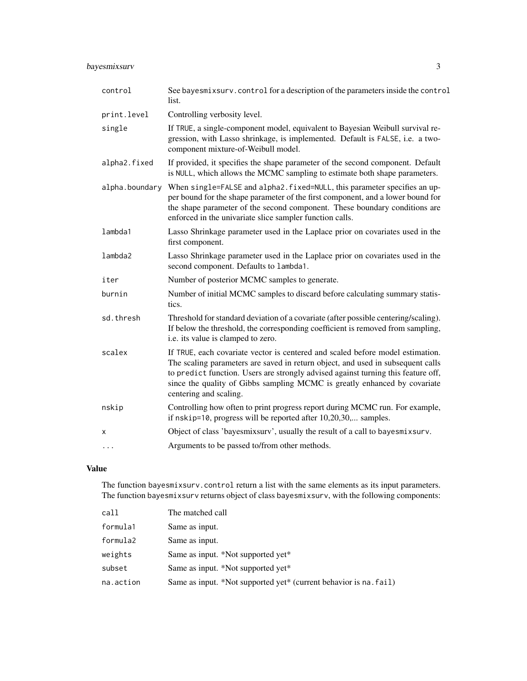# bayesmixsurv 3

| control        | See bayesmixsurv. control for a description of the parameters inside the control<br>list.                                                                                                                                                                                                                                                                     |
|----------------|---------------------------------------------------------------------------------------------------------------------------------------------------------------------------------------------------------------------------------------------------------------------------------------------------------------------------------------------------------------|
| print.level    | Controlling verbosity level.                                                                                                                                                                                                                                                                                                                                  |
| single         | If TRUE, a single-component model, equivalent to Bayesian Weibull survival re-<br>gression, with Lasso shrinkage, is implemented. Default is FALSE, i.e. a two-<br>component mixture-of-Weibull model.                                                                                                                                                        |
| alpha2.fixed   | If provided, it specifies the shape parameter of the second component. Default<br>is NULL, which allows the MCMC sampling to estimate both shape parameters.                                                                                                                                                                                                  |
| alpha.boundary | When single=FALSE and alpha2. fixed=NULL, this parameter specifies an up-<br>per bound for the shape parameter of the first component, and a lower bound for<br>the shape parameter of the second component. These boundary conditions are<br>enforced in the univariate slice sampler function calls.                                                        |
| lambda1        | Lasso Shrinkage parameter used in the Laplace prior on covariates used in the<br>first component.                                                                                                                                                                                                                                                             |
| lambda2        | Lasso Shrinkage parameter used in the Laplace prior on covariates used in the<br>second component. Defaults to lambda1.                                                                                                                                                                                                                                       |
| iter           | Number of posterior MCMC samples to generate.                                                                                                                                                                                                                                                                                                                 |
| burnin         | Number of initial MCMC samples to discard before calculating summary statis-<br>tics.                                                                                                                                                                                                                                                                         |
| sd.thresh      | Threshold for standard deviation of a covariate (after possible centering/scaling).<br>If below the threshold, the corresponding coefficient is removed from sampling,<br>i.e. its value is clamped to zero.                                                                                                                                                  |
| scalex         | If TRUE, each covariate vector is centered and scaled before model estimation.<br>The scaling parameters are saved in return object, and used in subsequent calls<br>to predict function. Users are strongly advised against turning this feature off,<br>since the quality of Gibbs sampling MCMC is greatly enhanced by covariate<br>centering and scaling. |
| nskip          | Controlling how often to print progress report during MCMC run. For example,<br>if nskip=10, progress will be reported after 10,20,30, samples.                                                                                                                                                                                                               |
| X              | Object of class 'bayesmixsurv', usually the result of a call to bayesmixsurv.                                                                                                                                                                                                                                                                                 |
| $\cdots$       | Arguments to be passed to/from other methods.                                                                                                                                                                                                                                                                                                                 |

# Value

The function bayesmixsurv.control return a list with the same elements as its input parameters. The function bayesmixsurv returns object of class bayesmixsurv, with the following components:

| call      | The matched call                                                  |
|-----------|-------------------------------------------------------------------|
| formula1  | Same as input.                                                    |
| formula2  | Same as input.                                                    |
| weights   | Same as input. *Not supported yet*                                |
| subset    | Same as input. *Not supported yet*                                |
| na.action | Same as input. *Not supported yet* (current behavior is na. fail) |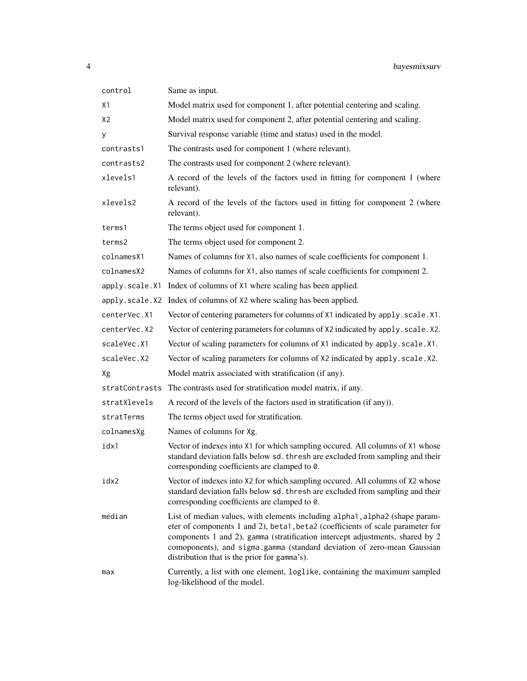| control        | Same as input.                                                                                                                                                                                                                                                                                                                                                            |
|----------------|---------------------------------------------------------------------------------------------------------------------------------------------------------------------------------------------------------------------------------------------------------------------------------------------------------------------------------------------------------------------------|
| X1             | Model matrix used for component 1, after potential centering and scaling.                                                                                                                                                                                                                                                                                                 |
| X <sub>2</sub> | Model matrix used for component 2, after potential centering and scaling.                                                                                                                                                                                                                                                                                                 |
| У              | Survival response variable (time and status) used in the model.                                                                                                                                                                                                                                                                                                           |
| contrasts1     | The contrasts used for component 1 (where relevant).                                                                                                                                                                                                                                                                                                                      |
| contrasts2     | The contrasts used for component 2 (where relevant).                                                                                                                                                                                                                                                                                                                      |
| xlevels1       | A record of the levels of the factors used in fitting for component 1 (where<br>relevant).                                                                                                                                                                                                                                                                                |
| xlevels2       | A record of the levels of the factors used in fitting for component 2 (where<br>relevant).                                                                                                                                                                                                                                                                                |
| terms1         | The terms object used for component 1.                                                                                                                                                                                                                                                                                                                                    |
| terms2         | The terms object used for component 2.                                                                                                                                                                                                                                                                                                                                    |
| colnamesX1     | Names of columns for X1, also names of scale coefficients for component 1.                                                                                                                                                                                                                                                                                                |
| colnamesX2     | Names of columns for X1, also names of scale coefficients for component 2.                                                                                                                                                                                                                                                                                                |
| apply.scale.X1 | Index of columns of X1 where scaling has been applied.                                                                                                                                                                                                                                                                                                                    |
| apply.scale.X2 | Index of columns of X2 where scaling has been applied.                                                                                                                                                                                                                                                                                                                    |
| centerVec.X1   | Vector of centering parameters for columns of X1 indicated by apply.scale.X1.                                                                                                                                                                                                                                                                                             |
| centerVec.X2   | Vector of centering parameters for columns of X2 indicated by apply. scale. X2.                                                                                                                                                                                                                                                                                           |
| scaleVec.X1    | Vector of scaling parameters for columns of X1 indicated by apply. scale.X1.                                                                                                                                                                                                                                                                                              |
| scaleVec.X2    | Vector of scaling parameters for columns of X2 indicated by apply. scale. X2.                                                                                                                                                                                                                                                                                             |
| Xg             | Model matrix associated with stratification (if any).                                                                                                                                                                                                                                                                                                                     |
| stratContrasts | The contrasts used for stratification model matrix, if any.                                                                                                                                                                                                                                                                                                               |
| stratXlevels   | A record of the levels of the factors used in stratification (if any)).                                                                                                                                                                                                                                                                                                   |
| stratTerms     | The terms object used for stratification.                                                                                                                                                                                                                                                                                                                                 |
| colnamesXg     | Names of columns for Xg.                                                                                                                                                                                                                                                                                                                                                  |
| idx1           | Vector of indexes into X1 for which sampling occured. All columns of X1 whose<br>standard deviation falls below sd. thresh are excluded from sampling and their<br>corresponding coefficients are clamped to 0.                                                                                                                                                           |
| idx2           | Vector of indexes into X2 for which sampling occured. All columns of X2 whose<br>standard deviation falls below sd. thresh are excluded from sampling and their<br>corresponding coefficients are clamped to 0.                                                                                                                                                           |
| median         | List of median values, with elements including alpha1, alpha2 (shape param-<br>eter of components 1 and 2), beta1, beta2 (coefficients of scale parameter for<br>components 1 and 2), gamma (stratification intercept adjustments, shared by 2<br>comoponents), and sigma.gamma (standard deviation of zero-mean Gaussian<br>distribution that is the prior for gamma's). |
| max            | Currently, a list with one element, loglike, containing the maximum sampled<br>log-likelihood of the model.                                                                                                                                                                                                                                                               |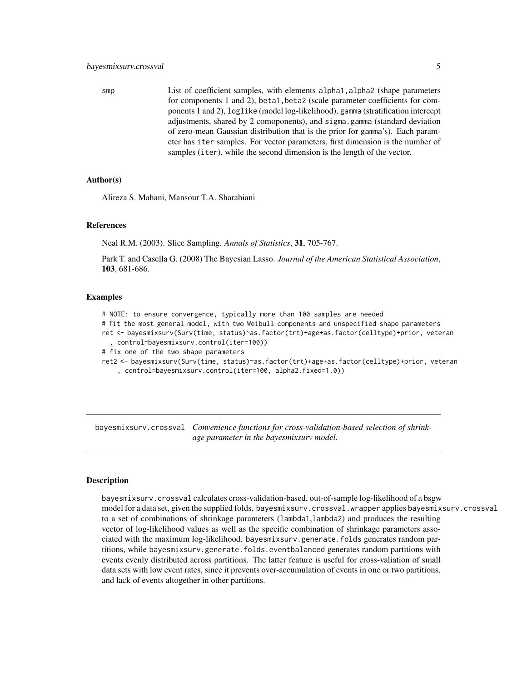<span id="page-4-0"></span>smp List of coefficient samples, with elements alpha1, alpha2 (shape parameters for components 1 and 2), beta1,beta2 (scale parameter coefficients for components 1 and 2), loglike (model log-likelihood), gamma (stratification intercept adjustments, shared by 2 comoponents), and sigma.gamma (standard deviation of zero-mean Gaussian distribution that is the prior for gamma's). Each parameter has iter samples. For vector parameters, first dimension is the number of samples (iter), while the second dimension is the length of the vector.

#### Author(s)

Alireza S. Mahani, Mansour T.A. Sharabiani

#### References

Neal R.M. (2003). Slice Sampling. *Annals of Statistics*, 31, 705-767.

Park T. and Casella G. (2008) The Bayesian Lasso. *Journal of the American Statistical Association*, 103, 681-686.

#### Examples

```
# NOTE: to ensure convergence, typically more than 100 samples are needed
# fit the most general model, with two Weibull components and unspecified shape parameters
ret <- bayesmixsurv(Surv(time, status)~as.factor(trt)+age+as.factor(celltype)+prior, veteran
  , control=bayesmixsurv.control(iter=100))
# fix one of the two shape parameters
ret2 <- bayesmixsurv(Surv(time, status)~as.factor(trt)+age+as.factor(celltype)+prior, veteran
    , control=bayesmixsurv.control(iter=100, alpha2.fixed=1.0))
```
bayesmixsurv.crossval *Convenience functions for cross-validation-based selection of shrinkage parameter in the bayesmixsurv model.*

#### Description

bayesmixsurv.crossval calculates cross-validation-based, out-of-sample log-likelihood of a bsgw model for a data set, given the supplied folds. bayesmixsurv.crossval.wrapper applies bayesmixsurv.crossval to a set of combinations of shrinkage parameters (lambda1,lambda2) and produces the resulting vector of log-likelihood values as well as the specific combination of shrinkage parameters associated with the maximum log-likelihood. bayesmixsurv.generate.folds generates random partitions, while bayesmixsurv.generate.folds.eventbalanced generates random partitions with events evenly distributed across partitions. The latter feature is useful for cross-valiation of small data sets with low event rates, since it prevents over-accumulation of events in one or two partitions, and lack of events altogether in other partitions.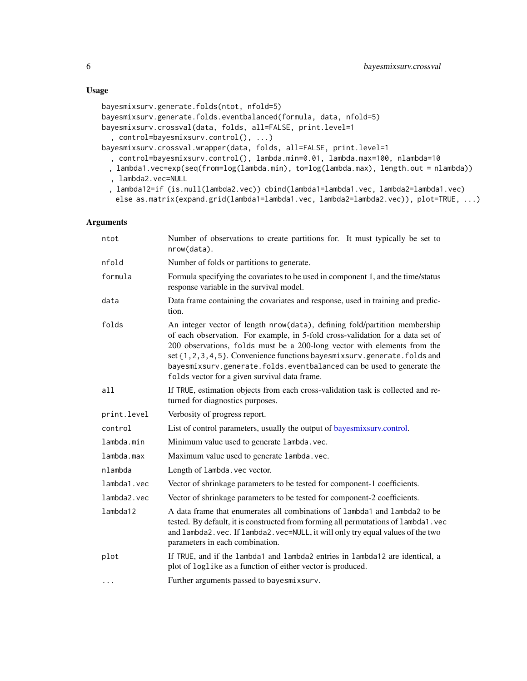# <span id="page-5-0"></span>Usage

```
bayesmixsurv.generate.folds(ntot, nfold=5)
bayesmixsurv.generate.folds.eventbalanced(formula, data, nfold=5)
bayesmixsurv.crossval(data, folds, all=FALSE, print.level=1
  , control=bayesmixsurv.control(), ...)
bayesmixsurv.crossval.wrapper(data, folds, all=FALSE, print.level=1
  , control=bayesmixsurv.control(), lambda.min=0.01, lambda.max=100, nlambda=10
 , lambda1.vec=exp(seq(from=log(lambda.min), to=log(lambda.max), length.out = nlambda))
  , lambda2.vec=NULL
 , lambda12=if (is.null(lambda2.vec)) cbind(lambda1=lambda1.vec, lambda2=lambda1.vec)
```
else as.matrix(expand.grid(lambda1=lambda1.vec, lambda2=lambda2.vec)), plot=TRUE, ...)

| ntot        | Number of observations to create partitions for. It must typically be set to<br>nrow(data).                                                                                                                                                                                                                                                                                                                                                      |
|-------------|--------------------------------------------------------------------------------------------------------------------------------------------------------------------------------------------------------------------------------------------------------------------------------------------------------------------------------------------------------------------------------------------------------------------------------------------------|
| nfold       | Number of folds or partitions to generate.                                                                                                                                                                                                                                                                                                                                                                                                       |
| formula     | Formula specifying the covariates to be used in component 1, and the time/status<br>response variable in the survival model.                                                                                                                                                                                                                                                                                                                     |
| data        | Data frame containing the covariates and response, used in training and predic-<br>tion.                                                                                                                                                                                                                                                                                                                                                         |
| folds       | An integer vector of length nrow(data), defining fold/partition membership<br>of each observation. For example, in 5-fold cross-validation for a data set of<br>200 observations, folds must be a 200-long vector with elements from the<br>set {1, 2, 3, 4, 5}. Convenience functions bayesmixsurv.generate.folds and<br>bayesmixsurv.generate.folds.eventbalanced can be used to generate the<br>folds vector for a given survival data frame. |
| a11         | If TRUE, estimation objects from each cross-validation task is collected and re-<br>turned for diagnostics purposes.                                                                                                                                                                                                                                                                                                                             |
| print.level | Verbosity of progress report.                                                                                                                                                                                                                                                                                                                                                                                                                    |
| control     | List of control parameters, usually the output of bayes mixsurv.control.                                                                                                                                                                                                                                                                                                                                                                         |
| lambda.min  | Minimum value used to generate lambda. vec.                                                                                                                                                                                                                                                                                                                                                                                                      |
| lambda.max  | Maximum value used to generate lambda.vec.                                                                                                                                                                                                                                                                                                                                                                                                       |
| nlambda     | Length of lambda. vec vector.                                                                                                                                                                                                                                                                                                                                                                                                                    |
| lambda1.vec | Vector of shrinkage parameters to be tested for component-1 coefficients.                                                                                                                                                                                                                                                                                                                                                                        |
| lambda2.vec | Vector of shrinkage parameters to be tested for component-2 coefficients.                                                                                                                                                                                                                                                                                                                                                                        |
| lambda12    | A data frame that enumerates all combinations of lambda1 and lambda2 to be<br>tested. By default, it is constructed from forming all permutations of lambda1. vec<br>and lambda2. vec. If lambda2. vec=NULL, it will only try equal values of the two<br>parameters in each combination.                                                                                                                                                         |
| plot        | If TRUE, and if the lambda1 and lambda2 entries in lambda12 are identical, a<br>plot of loglike as a function of either vector is produced.                                                                                                                                                                                                                                                                                                      |
| $\cdots$    | Further arguments passed to bayesmixsurv.                                                                                                                                                                                                                                                                                                                                                                                                        |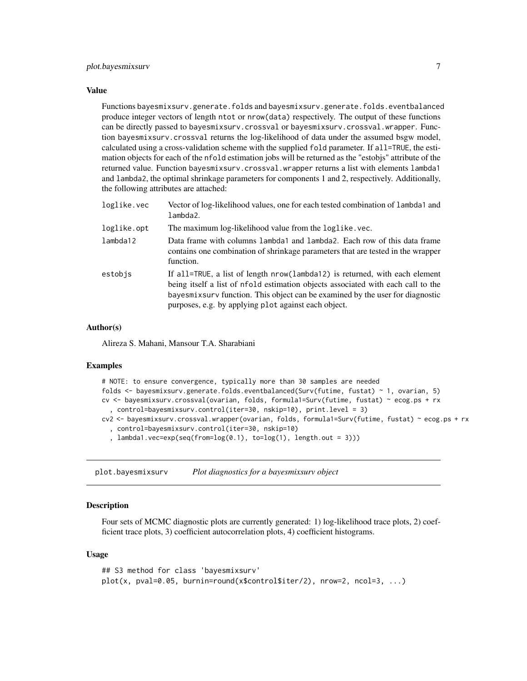#### <span id="page-6-0"></span>Value

Functions bayesmixsurv.generate.folds and bayesmixsurv.generate.folds.eventbalanced produce integer vectors of length ntot or nrow(data) respectively. The output of these functions can be directly passed to bayesmixsurv.crossval or bayesmixsurv.crossval.wrapper. Function bayesmixsurv.crossval returns the log-likelihood of data under the assumed bsgw model, calculated using a cross-validation scheme with the supplied fold parameter. If all=TRUE, the estimation objects for each of the nfold estimation jobs will be returned as the "estobjs" attribute of the returned value. Function bayesmixsurv.crossval.wrapper returns a list with elements lambda1 and lambda2, the optimal shrinkage parameters for components 1 and 2, respectively. Additionally, the following attributes are attached:

| loglike.vec | Vector of log-likelihood values, one for each tested combination of lambda1 and<br>lambda2.                                                                                                                                                                                                                |
|-------------|------------------------------------------------------------------------------------------------------------------------------------------------------------------------------------------------------------------------------------------------------------------------------------------------------------|
| loglike.opt | The maximum log-likelihood value from the loglike. vec.                                                                                                                                                                                                                                                    |
| lambda12    | Data frame with columns lambda1 and lambda2. Each row of this data frame<br>contains one combination of shrinkage parameters that are tested in the wrapper<br>function.                                                                                                                                   |
| estobis     | If all=TRUE, a list of length nrow(lambda12) is returned, with each element<br>being itself a list of nfold estimation objects associated with each call to the<br>bayes mix surv function. This object can be examined by the user for diagnostic<br>purposes, e.g. by applying plot against each object. |

# Author(s)

Alireza S. Mahani, Mansour T.A. Sharabiani

#### Examples

| # NOTE: to ensure convergence, typically more than 30 samples are needed                                                                    |
|---------------------------------------------------------------------------------------------------------------------------------------------|
| folds $\leq$ bayesmixsurv.generate.folds.eventbalanced(Surv(futime, fustat) $\sim$ 1, ovarian, 5)                                           |
| cv <- bayesmixsurv.crossval(ovarian, folds, formula1=Surv(futime, fustat) ~ ecog.ps + rx                                                    |
| , control=bayesmixsurv.control(iter=30, nskip=10), print.level = 3)                                                                         |
| cv2 <- bayesmixsurv.crossval.wrapper(ovarian, folds, formula1=Surv(futime, fustat) ~ ecog.ps + rx                                           |
| . control=bayesmixsurv.control(iter=30, nskip=10)                                                                                           |
| , $lambda(1)$ , $lambda(1)$ , $lambda(1)$ , $lambda(1)$ , $lambda(1)$ , $lambda(1)$ , $lambda(1)$ , $lambda(1)$ , $lambda(1)$ , $lambda(1)$ |
|                                                                                                                                             |

plot.bayesmixsurv *Plot diagnostics for a bayesmixsurv object*

# Description

Four sets of MCMC diagnostic plots are currently generated: 1) log-likelihood trace plots, 2) coefficient trace plots, 3) coefficient autocorrelation plots, 4) coefficient histograms.

#### Usage

```
## S3 method for class 'bayesmixsurv'
plot(x, pval=0.05, burnin=round(x$control$iter/2), nrow=2, ncol=3, ...)
```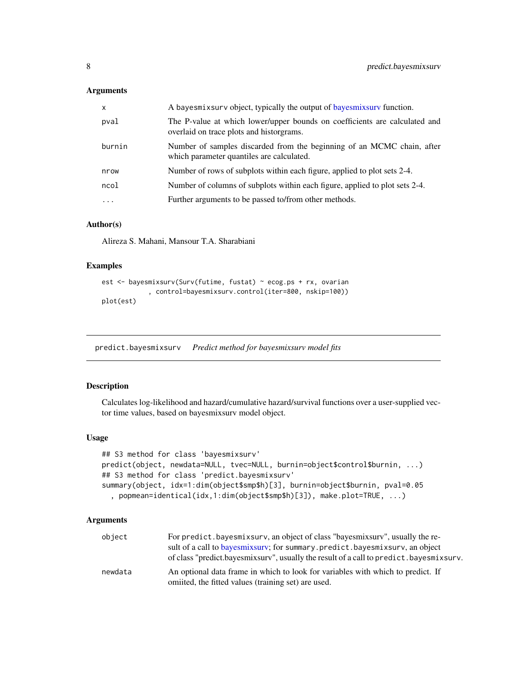#### <span id="page-7-0"></span>Arguments

| X        | A bayes mix surv object, typically the output of bayes mix surv function.                                              |
|----------|------------------------------------------------------------------------------------------------------------------------|
| pval     | The P-value at which lower/upper bounds on coefficients are calculated and<br>overlaid on trace plots and historgrams. |
| burnin   | Number of samples discarded from the beginning of an MCMC chain, after<br>which parameter quantiles are calculated.    |
| nrow     | Number of rows of subplots within each figure, applied to plot sets 2-4.                                               |
| ncol     | Number of columns of subplots within each figure, applied to plot sets 2-4.                                            |
| $\cdots$ | Further arguments to be passed to/from other methods.                                                                  |

#### Author(s)

Alireza S. Mahani, Mansour T.A. Sharabiani

# Examples

```
est <- bayesmixsurv(Surv(futime, fustat) ~ ecog.ps + rx, ovarian
            , control=bayesmixsurv.control(iter=800, nskip=100))
plot(est)
```
predict.bayesmixsurv *Predict method for bayesmixsurv model fits*

#### Description

Calculates log-likelihood and hazard/cumulative hazard/survival functions over a user-supplied vector time values, based on bayesmixsurv model object.

#### Usage

```
## S3 method for class 'bayesmixsurv'
predict(object, newdata=NULL, tvec=NULL, burnin=object$control$burnin, ...)
## S3 method for class 'predict.bayesmixsurv'
summary(object, idx=1:dim(object$smp$h)[3], burnin=object$burnin, pval=0.05
  , popmean=identical(idx,1:dim(object$smp$h)[3]), make.plot=TRUE, ...)
```

| object  | For predict, bayes mixsury, an object of class "bayes mixsury", usually the re-          |
|---------|------------------------------------------------------------------------------------------|
|         | sult of a call to bayes mixsury; for summary predict bayes mixsury, an object            |
|         | of class "predict.bayes mixsury", usually the result of a call to predict.bayes mixsury. |
| newdata | An optional data frame in which to look for variables with which to predict. If          |
|         | omitted, the fitted values (training set) are used.                                      |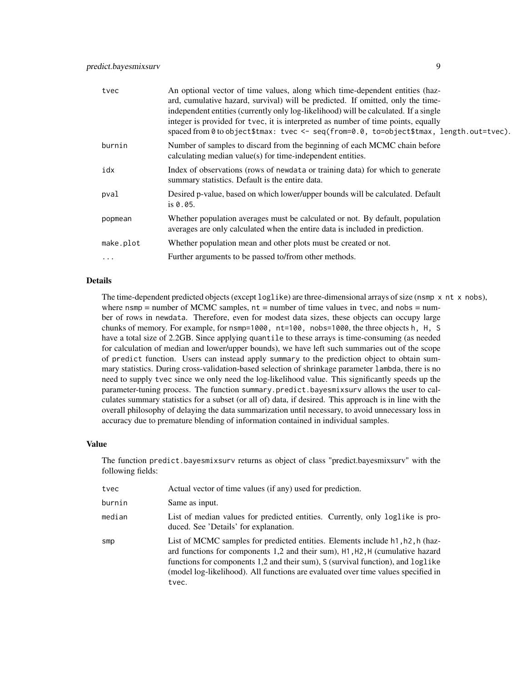| tvec      | An optional vector of time values, along which time-dependent entities (haz-<br>ard, cumulative hazard, survival) will be predicted. If omitted, only the time-<br>independent entities (currently only log-likelihood) will be calculated. If a single<br>integer is provided for tvec, it is interpreted as number of time points, equally<br>spaced from 0 to object\$tmax: tvec <- seq(from=0.0, to=object\$tmax, length.out=tvec). |
|-----------|-----------------------------------------------------------------------------------------------------------------------------------------------------------------------------------------------------------------------------------------------------------------------------------------------------------------------------------------------------------------------------------------------------------------------------------------|
| burnin    | Number of samples to discard from the beginning of each MCMC chain before<br>calculating median value(s) for time-independent entities.                                                                                                                                                                                                                                                                                                 |
| idx       | Index of observations (rows of newdata or training data) for which to generate<br>summary statistics. Default is the entire data.                                                                                                                                                                                                                                                                                                       |
| pval      | Desired p-value, based on which lower/upper bounds will be calculated. Default<br>is $0.05$ .                                                                                                                                                                                                                                                                                                                                           |
| popmean   | Whether population averages must be calculated or not. By default, population<br>averages are only calculated when the entire data is included in prediction.                                                                                                                                                                                                                                                                           |
| make.plot | Whether population mean and other plots must be created or not.                                                                                                                                                                                                                                                                                                                                                                         |
| $\cdots$  | Further arguments to be passed to/from other methods.                                                                                                                                                                                                                                                                                                                                                                                   |

# Details

The time-dependent predicted objects (except log1ike) are three-dimensional arrays of size (nsmp x nt x nobs), where nsmp  $=$  number of MCMC samples,  $nt =$  number of time values in tvec, and nobs  $=$  number of rows in newdata. Therefore, even for modest data sizes, these objects can occupy large chunks of memory. For example, for nsmp=1000, nt=100, nobs=1000, the three objects h, H, S have a total size of 2.2GB. Since applying quantile to these arrays is time-consuming (as needed for calculation of median and lower/upper bounds), we have left such summaries out of the scope of predict function. Users can instead apply summary to the prediction object to obtain summary statistics. During cross-validation-based selection of shrinkage parameter lambda, there is no need to supply tvec since we only need the log-likelihood value. This significantly speeds up the parameter-tuning process. The function summary.predict.bayesmixsurv allows the user to calculates summary statistics for a subset (or all of) data, if desired. This approach is in line with the overall philosophy of delaying the data summarization until necessary, to avoid unnecessary loss in accuracy due to premature blending of information contained in individual samples.

#### Value

The function predict.bayesmixsurv returns as object of class "predict.bayesmixsurv" with the following fields:

| tvec   | Actual vector of time values (if any) used for prediction.                                                                                                                                                                                                                                                                                      |
|--------|-------------------------------------------------------------------------------------------------------------------------------------------------------------------------------------------------------------------------------------------------------------------------------------------------------------------------------------------------|
| burnin | Same as input.                                                                                                                                                                                                                                                                                                                                  |
| median | List of median values for predicted entities. Currently, only loglike is pro-<br>duced. See 'Details' for explanation.                                                                                                                                                                                                                          |
| smp    | List of MCMC samples for predicted entities. Elements include h1, h2, h (haz-<br>ard functions for components 1,2 and their sum), H1, H2, H (cumulative hazard<br>functions for components 1,2 and their sum), S (survival function), and loglike<br>(model log-likelihood). All functions are evaluated over time values specified in<br>tvec. |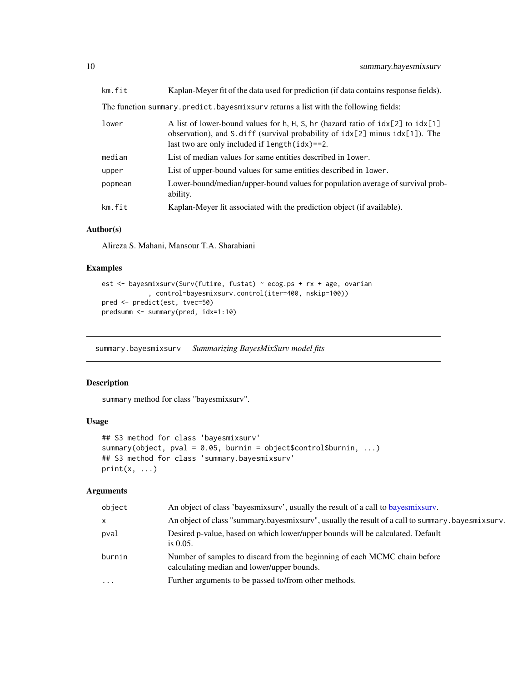<span id="page-9-0"></span>

| km.fit  | Kaplan-Meyer fit of the data used for prediction (if data contains response fields).                                                                                                                                          |
|---------|-------------------------------------------------------------------------------------------------------------------------------------------------------------------------------------------------------------------------------|
|         | The function summary.predict.bayesmixsurv returns a list with the following fields:                                                                                                                                           |
| lower   | A list of lower-bound values for h, H, S, hr (hazard ratio of $idx[2]$ to $idx[1]$<br>observation), and S. diff (survival probability of $idx[2]$ minus $idx[1]$ ). The<br>last two are only included if $length(idx) == 2$ . |
| median  | List of median values for same entities described in lower.                                                                                                                                                                   |
| upper   | List of upper-bound values for same entities described in lower.                                                                                                                                                              |
| popmean | Lower-bound/median/upper-bound values for population average of survival prob-<br>ability.                                                                                                                                    |
| km.fit  | Kaplan-Meyer fit associated with the prediction object (if available).                                                                                                                                                        |

#### Author(s)

Alireza S. Mahani, Mansour T.A. Sharabiani

#### Examples

```
est <- bayesmixsurv(Surv(futime, fustat) ~ ecog.ps + rx + age, ovarian
            , control=bayesmixsurv.control(iter=400, nskip=100))
pred <- predict(est, tvec=50)
predsumm <- summary(pred, idx=1:10)
```
summary.bayesmixsurv *Summarizing BayesMixSurv model fits*

# Description

summary method for class "bayesmixsurv".

### Usage

```
## S3 method for class 'bayesmixsurv'
summary(object, pval = 0.05, burnin = object$control$burnin, ...)
## S3 method for class 'summary.bayesmixsurv'
print(x, \ldots)
```

| An object of class "summary.bayesmixsurv", usually the result of a call to summary.bayesmixsurv.<br>$\mathsf{x}$                  |  |
|-----------------------------------------------------------------------------------------------------------------------------------|--|
| Desired p-value, based on which lower/upper bounds will be calculated. Default<br>pval<br>is $0.05$ .                             |  |
| Number of samples to discard from the beginning of each MCMC chain before<br>burnin<br>calculating median and lower/upper bounds. |  |
| Further arguments to be passed to/from other methods.<br>$\ddotsc$                                                                |  |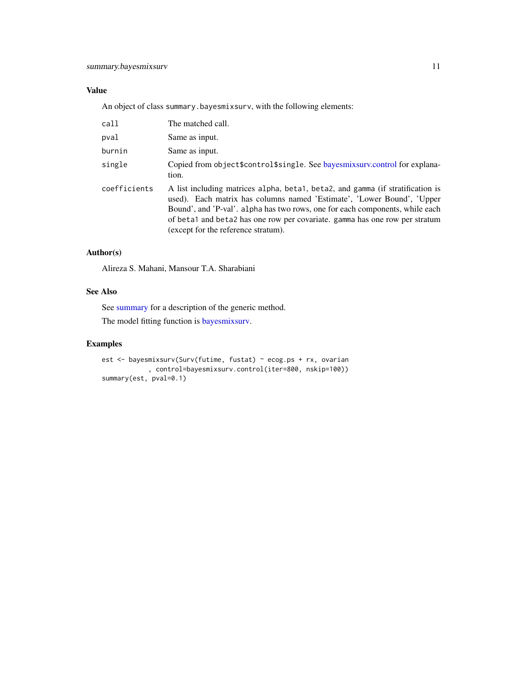# <span id="page-10-0"></span>Value

An object of class summary.bayesmixsurv, with the following elements:

| call         | The matched call.                                                                                                                                                                                                                                                                                                                                              |
|--------------|----------------------------------------------------------------------------------------------------------------------------------------------------------------------------------------------------------------------------------------------------------------------------------------------------------------------------------------------------------------|
| pval         | Same as input.                                                                                                                                                                                                                                                                                                                                                 |
| burnin       | Same as input.                                                                                                                                                                                                                                                                                                                                                 |
| single       | Copied from object \$control \$single. See bayes mix surv.control for explana-<br>tion.                                                                                                                                                                                                                                                                        |
| coefficients | A list including matrices alpha, beta1, beta2, and gamma (if stratification is<br>used). Each matrix has columns named 'Estimate', 'Lower Bound', 'Upper<br>Bound', and 'P-val'. alpha has two rows, one for each components, while each<br>of beta1 and beta2 has one row per covariate. gamma has one row per stratum<br>(except for the reference stratum). |

#### Author(s)

Alireza S. Mahani, Mansour T.A. Sharabiani

## See Also

See [summary](#page-0-0) for a description of the generic method.

The model fitting function is [bayesmixsurv.](#page-1-2)

# Examples

```
est <- bayesmixsurv(Surv(futime, fustat) ~ ecog.ps + rx, ovarian
           , control=bayesmixsurv.control(iter=800, nskip=100))
summary(est, pval=0.1)
```